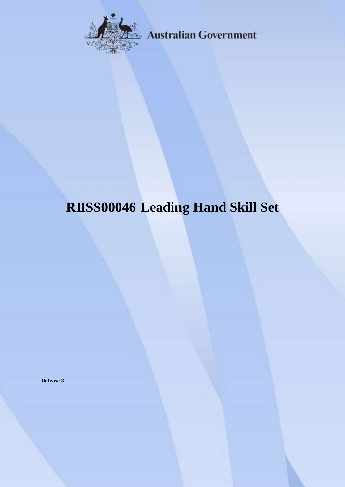

**Australian Government** 

# **RIISS00046 Leading Hand Skill Set**

**Release 3**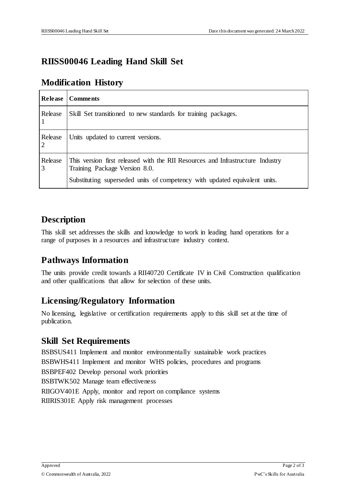# **RIISS00046 Leading Hand Skill Set**

#### **Modification History**

| <b>Release</b>            | <b>Comments</b>                                                                                                                                                                               |
|---------------------------|-----------------------------------------------------------------------------------------------------------------------------------------------------------------------------------------------|
| Release                   | Skill Set transitioned to new standards for training packages.                                                                                                                                |
| Release<br><sup>2</sup>   | Units updated to current versions.                                                                                                                                                            |
| Release<br>$\overline{3}$ | This version first released with the RII Resources and Infrastructure Industry<br>Training Package Version 8.0.<br>Substituting superseded units of competency with updated equivalent units. |

#### **Description**

This skill set addresses the skills and knowledge to work in leading hand operations for a range of purposes in a resources and infrastructure industry context.

## **Pathways Information**

The units provide credit towards a RII40720 Certificate IV in Civil Construction qualification and other qualifications that allow for selection of these units.

## **Licensing/Regulatory Information**

No licensing, legislative or certification requirements apply to this skill set at the time of publication.

#### **Skill Set Requirements**

BSBSUS411 Implement and monitor environmentally sustainable work practices BSBWHS411 Implement and monitor WHS policies, procedures and programs BSBPEF402 Develop personal work priorities BSBTWK502 Manage team effectiveness RIIGOV401E Apply, monitor and report on compliance systems RIIRIS301E Apply risk management processes